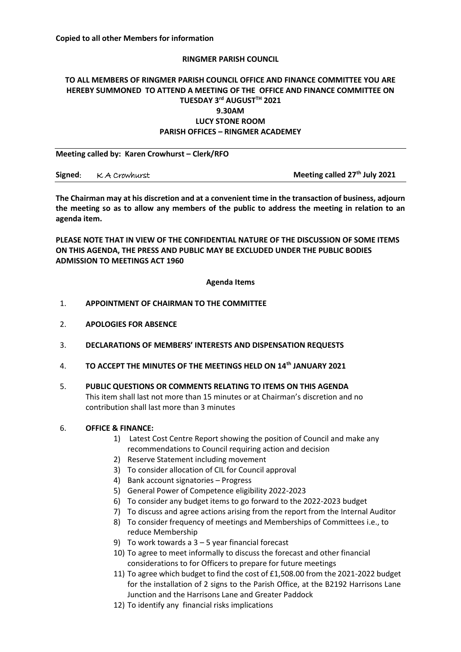**Meeting called by: Karen Crowhurst – Clerk/RFO** 

### **RINGMER PARISH COUNCIL**

# **TO ALL MEMBERS OF RINGMER PARISH COUNCIL OFFICE AND FINANCE COMMITTEE YOU ARE HEREBY SUMMONED TO ATTEND A MEETING OF THE OFFICE AND FINANCE COMMITTEE ON TUESDAY 3 rd AUGUSTTH 2021 9.30AM LUCY STONE ROOM PARISH OFFICES – RINGMER ACADEMEY**

| Signed: KA Crowhurst | Meeting called 27 <sup>th</sup> July 2021 |
|----------------------|-------------------------------------------|

**The Chairman may at his discretion and at a convenient time in the transaction of business, adjourn the meeting so as to allow any members of the public to address the meeting in relation to an agenda item.**

**PLEASE NOTE THAT IN VIEW OF THE CONFIDENTIAL NATURE OF THE DISCUSSION OF SOME ITEMS ON THIS AGENDA, THE PRESS AND PUBLIC MAY BE EXCLUDED UNDER THE PUBLIC BODIES ADMISSION TO MEETINGS ACT 1960**

### **Agenda Items**

- 1. **APPOINTMENT OF CHAIRMAN TO THE COMMITTEE**
- 2. **APOLOGIES FOR ABSENCE**
- 3. **DECLARATIONS OF MEMBERS' INTERESTS AND DISPENSATION REQUESTS**
- 4. **TO ACCEPT THE MINUTES OF THE MEETINGS HELD ON 14th JANUARY 2021**
- 5. **PUBLIC QUESTIONS OR COMMENTS RELATING TO ITEMS ON THIS AGENDA** This item shall last not more than 15 minutes or at Chairman's discretion and no contribution shall last more than 3 minutes

#### 6. **OFFICE & FINANCE:**

- 1) Latest Cost Centre Report showing the position of Council and make any recommendations to Council requiring action and decision
- 2) Reserve Statement including movement
- 3) To consider allocation of CIL for Council approval
- 4) Bank account signatories Progress
- 5) General Power of Competence eligibility 2022-2023
- 6) To consider any budget items to go forward to the 2022-2023 budget
- 7) To discuss and agree actions arising from the report from the Internal Auditor
- 8) To consider frequency of meetings and Memberships of Committees i.e., to reduce Membership
- 9) To work towards a  $3 5$  year financial forecast
- 10) To agree to meet informally to discuss the forecast and other financial considerations to for Officers to prepare for future meetings
- 11) To agree which budget to find the cost of £1,508.00 from the 2021-2022 budget for the installation of 2 signs to the Parish Office, at the B2192 Harrisons Lane Junction and the Harrisons Lane and Greater Paddock
- 12) To identify any financial risks implications